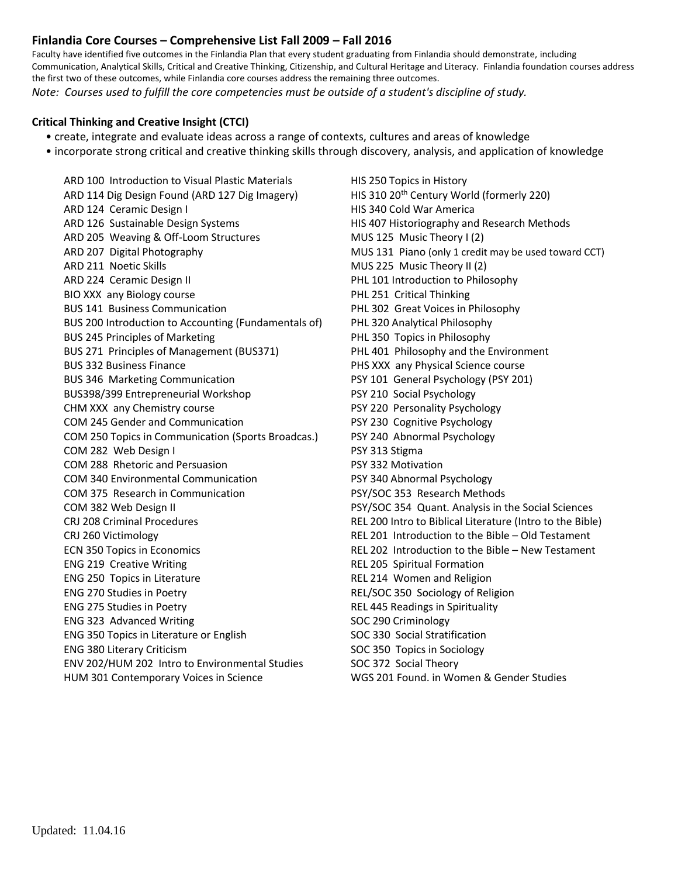## **Finlandia Core Courses – Comprehensive List Fall 2009 – Fall 2016**

Faculty have identified five outcomes in the Finlandia Plan that every student graduating from Finlandia should demonstrate, including Communication, Analytical Skills, Critical and Creative Thinking, Citizenship, and Cultural Heritage and Literacy. Finlandia foundation courses address the first two of these outcomes, while Finlandia core courses address the remaining three outcomes. *Note: Courses used to fulfill the core competencies must be outside of a student's discipline of study.*

## **Critical Thinking and Creative Insight (CTCI)**

- create, integrate and evaluate ideas across a range of contexts, cultures and areas of knowledge
- incorporate strong critical and creative thinking skills through discovery, analysis, and application of knowledge

ARD 100 Introduction to Visual Plastic Materials ARD 114 Dig Design Found (ARD 127 Dig Imagery) ARD 124 Ceramic Design I ARD 126 Sustainable Design Systems ARD 205 Weaving & Off-Loom Structures ARD 207 Digital Photography ARD 211 Noetic Skills ARD 224 Ceramic Design II BIO XXX any Biology course BUS 141 Business Communication BUS 200 Introduction to Accounting (Fundamentals of) BUS 245 Principles of Marketing BUS 271 Principles of Management (BUS371) BUS 332 Business Finance BUS 346 Marketing Communication BUS398/399 Entrepreneurial Workshop CHM XXX any Chemistry course COM 245 Gender and Communication COM 250 Topics in Communication (Sports Broadcas.) COM 282 Web Design I COM 288 Rhetoric and Persuasion COM 340 Environmental Communication COM 375 Research in Communication COM 382 Web Design II CRJ 208 Criminal Procedures CRJ 260 Victimology ECN 350 Topics in Economics ENG 219 Creative Writing ENG 250 Topics in Literature ENG 270 Studies in Poetry ENG 275 Studies in Poetry ENG 323 Advanced Writing ENG 350 Topics in Literature or English ENG 380 Literary Criticism ENV 202/HUM 202 Intro to Environmental Studies HUM 301 Contemporary Voices in Science

HIS 250 Topics in History HIS 310 20th Century World (formerly 220) HIS 340 Cold War America HIS 407 Historiography and Research Methods MUS 125 Music Theory I (2) MUS 131 Piano (only 1 credit may be used toward CCT) MUS 225 Music Theory II (2) PHL 101 Introduction to Philosophy PHL 251 Critical Thinking PHL 302 Great Voices in Philosophy PHL 320 Analytical Philosophy PHL 350 Topics in Philosophy PHL 401 Philosophy and the Environment PHS XXX any Physical Science course PSY 101 General Psychology (PSY 201) PSY 210 Social Psychology PSY 220 Personality Psychology PSY 230 Cognitive Psychology PSY 240 Abnormal Psychology PSY 313 Stigma PSY 332 Motivation PSY 340 Abnormal Psychology PSY/SOC 353 Research Methods PSY/SOC 354 Quant. Analysis in the Social Sciences REL 200 Intro to Biblical Literature (Intro to the Bible) REL 201 Introduction to the Bible – Old Testament REL 202 Introduction to the Bible – New Testament REL 205 Spiritual Formation REL 214 Women and Religion REL/SOC 350 Sociology of Religion REL 445 Readings in Spirituality SOC 290 Criminology SOC 330 Social Stratification SOC 350 Topics in Sociology SOC 372 Social Theory WGS 201 Found. in Women & Gender Studies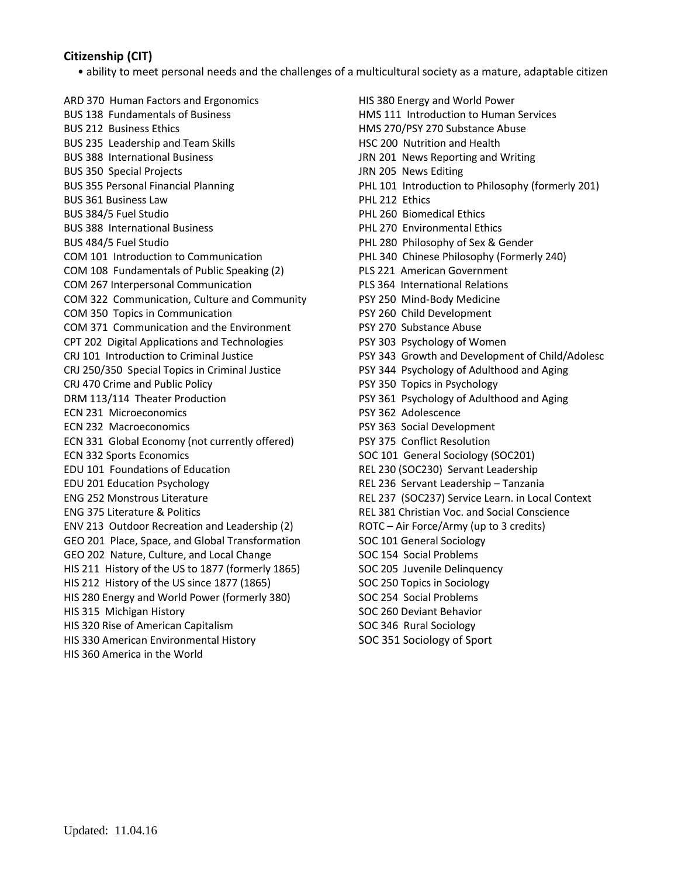## **Citizenship (CIT)**

• ability to meet personal needs and the challenges of a multicultural society as a mature, adaptable citizen

ARD 370 Human Factors and Ergonomics BUS 138 Fundamentals of Business BUS 212 Business Ethics BUS 235 Leadership and Team Skills BUS 388 International Business BUS 350 Special Projects BUS 355 Personal Financial Planning BUS 361 Business Law BUS 384/5 Fuel Studio BUS 388 International Business BUS 484/5 Fuel Studio COM 101 Introduction to Communication COM 108 Fundamentals of Public Speaking (2) COM 267 Interpersonal Communication COM 322 Communication, Culture and Community COM 350 Topics in Communication COM 371 Communication and the Environment CPT 202 Digital Applications and Technologies CRJ 101 Introduction to Criminal Justice CRJ 250/350 Special Topics in Criminal Justice CRJ 470 Crime and Public Policy DRM 113/114 Theater Production ECN 231 Microeconomics ECN 232 Macroeconomics ECN 331 Global Economy (not currently offered) ECN 332 Sports Economics EDU 101 Foundations of Education EDU 201 Education Psychology ENG 252 Monstrous Literature ENG 375 Literature & Politics ENV 213 Outdoor Recreation and Leadership (2) GEO 201 Place, Space, and Global Transformation GEO 202 Nature, Culture, and Local Change HIS 211 History of the US to 1877 (formerly 1865) HIS 212 History of the US since 1877 (1865) HIS 280 Energy and World Power (formerly 380) HIS 315 Michigan History HIS 320 Rise of American Capitalism HIS 330 American Environmental History HIS 360 America in the World

HIS 380 Energy and World Power HMS 111 Introduction to Human Services HMS 270/PSY 270 Substance Abuse HSC 200 Nutrition and Health JRN 201 News Reporting and Writing JRN 205 News Editing PHL 101 Introduction to Philosophy (formerly 201) PHL 212 Ethics PHL 260 Biomedical Ethics PHL 270 Environmental Ethics PHL 280 Philosophy of Sex & Gender PHL 340 Chinese Philosophy (Formerly 240) PLS 221 American Government PLS 364 International Relations PSY 250 Mind-Body Medicine PSY 260 Child Development PSY 270 Substance Abuse PSY 303 Psychology of Women PSY 343 Growth and Development of Child/Adolesc PSY 344 Psychology of Adulthood and Aging PSY 350 Topics in Psychology PSY 361 Psychology of Adulthood and Aging PSY 362 Adolescence PSY 363 Social Development PSY 375 Conflict Resolution SOC 101 General Sociology (SOC201) REL 230 (SOC230) Servant Leadership REL 236 Servant Leadership – Tanzania REL 237 (SOC237) Service Learn. in Local Context REL 381 Christian Voc. and Social Conscience ROTC – Air Force/Army (up to 3 credits) SOC 101 General Sociology SOC 154 Social Problems SOC 205 Juvenile Delinquency SOC 250 Topics in Sociology SOC 254 Social Problems SOC 260 Deviant Behavior SOC 346 Rural Sociology SOC 351 Sociology of Sport